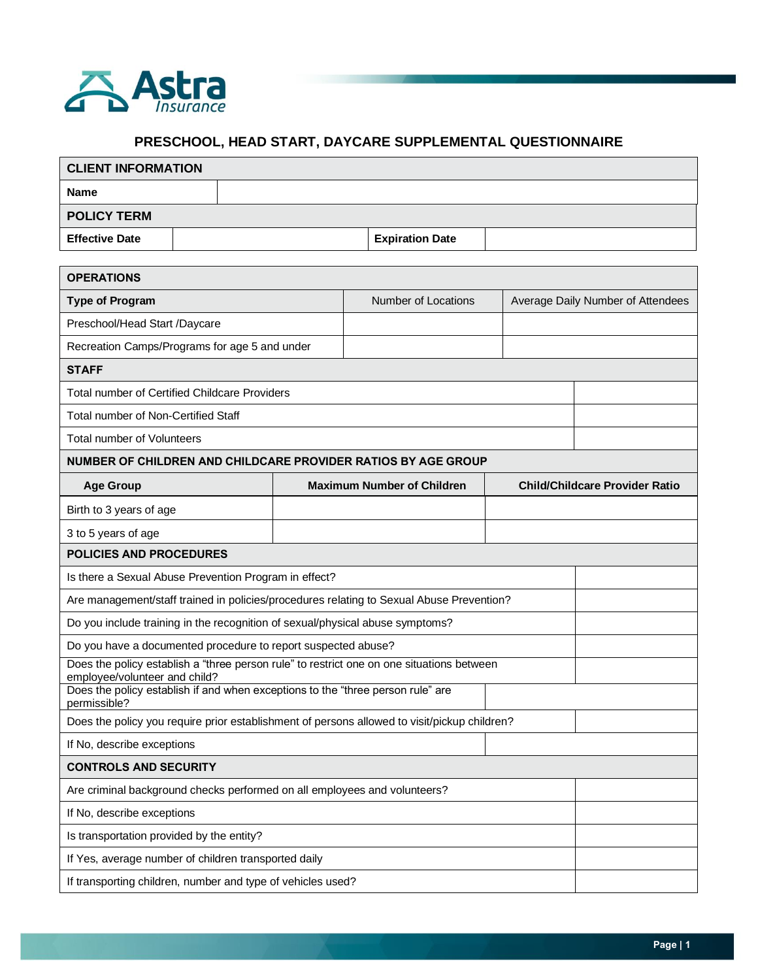

## **PRESCHOOL, HEAD START, DAYCARE SUPPLEMENTAL QUESTIONNAIRE**

| <b>CLIENT INFORMATION</b>                                                                                                  |  |  |                                   |                        |  |                                       |                                   |  |  |
|----------------------------------------------------------------------------------------------------------------------------|--|--|-----------------------------------|------------------------|--|---------------------------------------|-----------------------------------|--|--|
| <b>Name</b>                                                                                                                |  |  |                                   |                        |  |                                       |                                   |  |  |
| <b>POLICY TERM</b>                                                                                                         |  |  |                                   |                        |  |                                       |                                   |  |  |
| <b>Effective Date</b>                                                                                                      |  |  |                                   | <b>Expiration Date</b> |  |                                       |                                   |  |  |
|                                                                                                                            |  |  |                                   |                        |  |                                       |                                   |  |  |
| <b>OPERATIONS</b>                                                                                                          |  |  |                                   |                        |  |                                       |                                   |  |  |
| <b>Type of Program</b>                                                                                                     |  |  |                                   | Number of Locations    |  |                                       | Average Daily Number of Attendees |  |  |
| Preschool/Head Start /Daycare                                                                                              |  |  |                                   |                        |  |                                       |                                   |  |  |
| Recreation Camps/Programs for age 5 and under                                                                              |  |  |                                   |                        |  |                                       |                                   |  |  |
| <b>STAFF</b>                                                                                                               |  |  |                                   |                        |  |                                       |                                   |  |  |
| <b>Total number of Certified Childcare Providers</b>                                                                       |  |  |                                   |                        |  |                                       |                                   |  |  |
| Total number of Non-Certified Staff                                                                                        |  |  |                                   |                        |  |                                       |                                   |  |  |
| <b>Total number of Volunteers</b>                                                                                          |  |  |                                   |                        |  |                                       |                                   |  |  |
| NUMBER OF CHILDREN AND CHILDCARE PROVIDER RATIOS BY AGE GROUP                                                              |  |  |                                   |                        |  |                                       |                                   |  |  |
| <b>Age Group</b>                                                                                                           |  |  | <b>Maximum Number of Children</b> |                        |  | <b>Child/Childcare Provider Ratio</b> |                                   |  |  |
| Birth to 3 years of age                                                                                                    |  |  |                                   |                        |  |                                       |                                   |  |  |
| 3 to 5 years of age                                                                                                        |  |  |                                   |                        |  |                                       |                                   |  |  |
| <b>POLICIES AND PROCEDURES</b>                                                                                             |  |  |                                   |                        |  |                                       |                                   |  |  |
| Is there a Sexual Abuse Prevention Program in effect?                                                                      |  |  |                                   |                        |  |                                       |                                   |  |  |
| Are management/staff trained in policies/procedures relating to Sexual Abuse Prevention?                                   |  |  |                                   |                        |  |                                       |                                   |  |  |
| Do you include training in the recognition of sexual/physical abuse symptoms?                                              |  |  |                                   |                        |  |                                       |                                   |  |  |
| Do you have a documented procedure to report suspected abuse?                                                              |  |  |                                   |                        |  |                                       |                                   |  |  |
| Does the policy establish a "three person rule" to restrict one on one situations between<br>employee/volunteer and child? |  |  |                                   |                        |  |                                       |                                   |  |  |
| Does the policy establish if and when exceptions to the "three person rule" are<br>permissible?                            |  |  |                                   |                        |  |                                       |                                   |  |  |
| Does the policy you require prior establishment of persons allowed to visit/pickup children?                               |  |  |                                   |                        |  |                                       |                                   |  |  |
| If No, describe exceptions                                                                                                 |  |  |                                   |                        |  |                                       |                                   |  |  |
| <b>CONTROLS AND SECURITY</b>                                                                                               |  |  |                                   |                        |  |                                       |                                   |  |  |
| Are criminal background checks performed on all employees and volunteers?                                                  |  |  |                                   |                        |  |                                       |                                   |  |  |
| If No, describe exceptions                                                                                                 |  |  |                                   |                        |  |                                       |                                   |  |  |
| Is transportation provided by the entity?                                                                                  |  |  |                                   |                        |  |                                       |                                   |  |  |
| If Yes, average number of children transported daily                                                                       |  |  |                                   |                        |  |                                       |                                   |  |  |
| If transporting children, number and type of vehicles used?                                                                |  |  |                                   |                        |  |                                       |                                   |  |  |